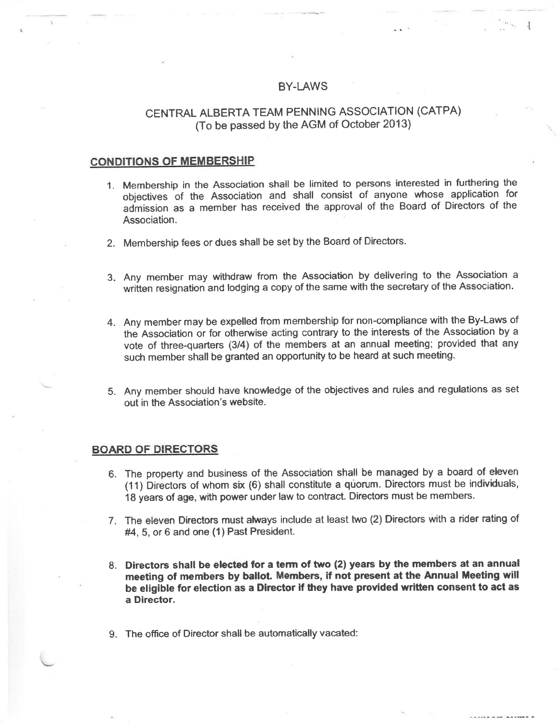### BY-LAWS

't {

# CENTRAL ALBERTA TEAM PENNING ASSOCIATION (CATPA) (To be passed by the AGM of October 2013\

#### **CONDITIONS OF MEMBERSHIP**

- 1. Membership in the Association shall be limited to persons interested in furthering the objectives of the Association and shall consist of anyone whose\_application for admission as a member has received the approval of the Board of Directors of the Association.
- 2. Membership fees or dues shall be set by the Board of Directors.
- 3. Any member may withdraw from the Association by delivering to the Association a written resignation and lodging a copy of the same with the secretary of the Association.
- 4. Any member may be expelled from membership for non-compliance with the By-Laws of the Association or for otherwise acting contrary to the interests of the Association by a vote of three-quarters (3/4) of the members at an annual meeting; provided that any such member shall be granted an opportunity to be heard at such meeting.
- 5. Any member should have knowledge of the objectives and rules and regulations as set out in the Association's website.

### BOARD OF DIRECTORS

- 6. The property and business of the Association shall be managed by a board of eleven (11) Directors of whom six {6) shall constitute a qùorum. Directors must be individuals, <sup>18</sup>years of age, with power under law to contract. Directors must be members.
- 7. The eleven Directors must atways include at least two (2) Directors with a rider rating of #4,5, or 6 and one (1) Past President.
- L Directors shall be elected for a term of two (2) years by the members at an annual meeting of members by ballot. Members, if not present at the Annual Meeting will be eligible for election as a Director if they have provided written consent to act as a Director.
- 9. The office of Director shall be automatically vacated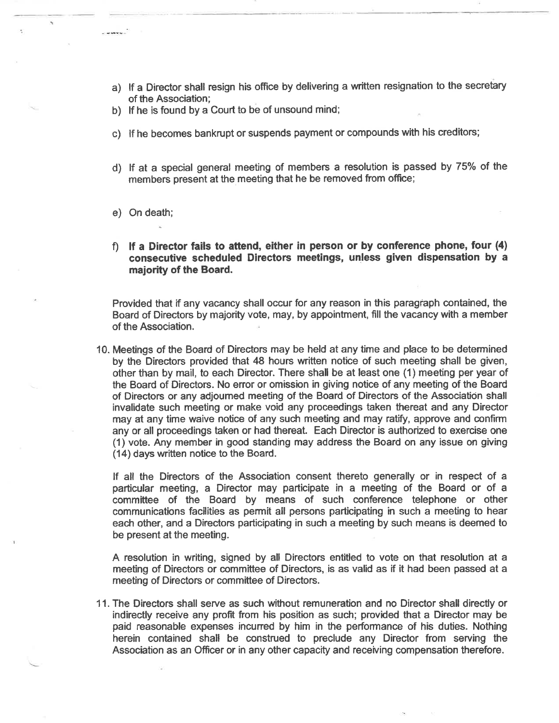- a) lf a Director shall resign his office by delivering a written resignation to the secretary of the Association;
- b) lf he is found by a Court to be of unsound mind;
- c) lf he becomes bankrupt or suspends payment or compounds with his creditors;
- d) If at a special general meeting of members a resolution is passed by 75% of the members present at the meeting that he be removed from office;
- e) On death;
- f) If a Director fails to attend, either in person or by conference phone, four (4) consecutive scheduled Directors meetings, unless given dispensation by a majority of the Board.

Provided that if any vacancy shall occur for any reason in this paragraph contained, the Board of Directors by majority vote, may, by appointment, fill the vacancy with a member of the Association

10. Meetings of the Board of Directors may be held at any time and place to be determined by the Directors provided that 48 hours written notice of such meeting shall be given, other than by mail, to each Director. There shall be at least one (1) meeting per year of the Board of Directors. No error or omission in giving notice of any meeting of the Board of Directors or any adjoumed meeting of the Board of Directors of the Associaticin shall invalidate such meeting or make void any proceedings taken thereat and any Director may at any time waive notice of any such meeting and may ratify, approve and confirm any or all proceedings taken or had thereat. Each Director is authorized to exercise one (1) vote. Any member in good standing may address the Board on any issue on giving (14) days written notice to the Board.

lf all the Directors of the Association consent thereto generally or in respect of a particular meeting, a Director may participate in a meeting of the Board or of a committee of the Board by means of such conference telephone or other communications facilities as permit all persons participating in such a meeting to hear each other, and a Directors participating in such a meeting by such means is deemed to be present at the meeting.

A resolution in writing, signed by all Directors entitled to vote on that resolution at a meeting of Directors or committee of Directors, is as valid as if it had been passed at a meeting of Directors or committee of Directors.

<sup>1</sup>1. The Directors shall serve as such without remuneration and no Director shall directly or indirectly receive any profit from his position as such; provided that a Director may be paid reasonable expenses incurred by him in the performance of his duties. Nothing herein contained shall be construed to preclude any Director from serving the Association as an Officer or in any other capacity and receiving compensation therefore.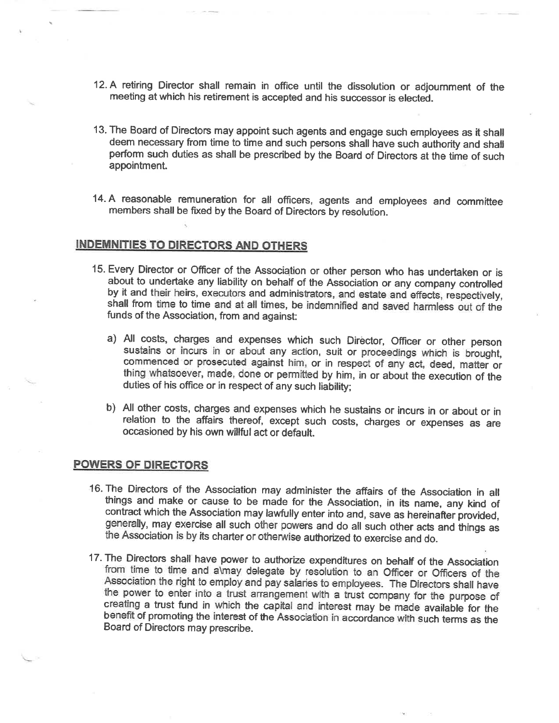- 12. A retiring Director shall remain in office until the dissolution or adjoumment of the meeting at which his retirement is accepted and his successor is elected.
- 13. The Board of Directors may appoint such agents and engage such employees as it shall perform such duties as shall be prescribed by the Board of Directors at the time of such appointment.
- 14. A reasonable remuneration for all officers, agents and employees and committee members shall be fixed by the Board of Directors by resolution.

### **INDEMNITIES TO DIRECTORS AND OTHERS**

- 15. Every Director or Officer of the Association or other person who has undertaken or is by it and their heirs, executors and administrators, and estate and effects, respectively, shall from time to time and at all times, be indemnified and saved harmless out of the funds of the Association, from and against:
	- a) All costs, charges and expenses which such Director, Officer or other person sustains or incurs in or about any action, suit or proceedings which is brought, commenced or prosecuted against him, or in respect of any act duties of his office or in respect of any such liability;
	- b) All other costs, charges and expenses which he sustains or incurs in or about or in relation to the affairs thereof, except such costs, charges or expenses as are occasioned by his own willful act or default.

### **POWERS OF DIRECTORS**

- 16. The Directors of the Association may administer the affairs of the Association in all things and make or cause to be made for the Association, in its name, any kind of contract which the Association may lawfully enter
- 17. The Directors shall have power to authorize expenditures on behalf of the Association<br>from time to time and almay delegate by resolution to an Officer or Officers of the<br>Association the right to employ and pay salaries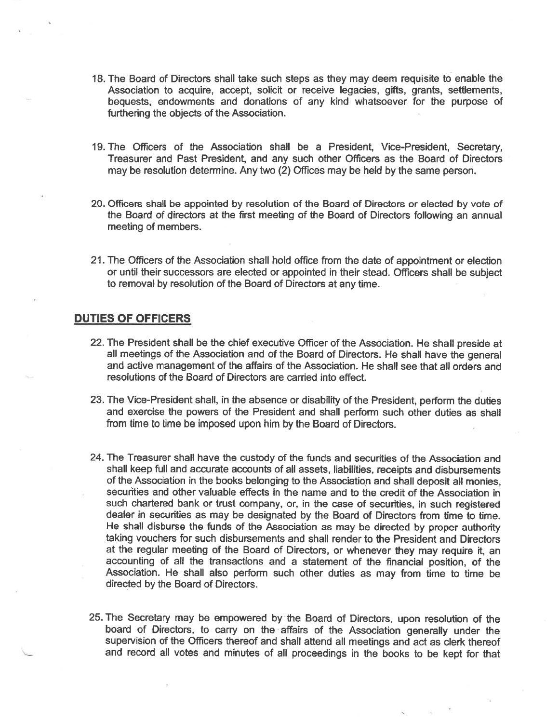- 18. The Board of Directors shall take such steps as they may deem requisite to enable the Association to acquire, accept, solicit or receive legacies, gifts, grants, setflements, bequests, endowments and donations of any kind whatsoever for the purpose of furthering the objects of the Association.
- 19.The Ofücers of the Association shall be a President, Vice-President, Secretary, Treasurer and Past President, and any such other Officers as the Board of Directors may be resolution determine. Any two (2) Offices may be held by the same person.
- 20. Ofücers shall be appointed by resolution of the Board of Directors or elected by vote of the Board of directors at the first meeting of the Board of Directors following an annual meeting of members.
- 21.The Officers of the Association shall hold office from the date of appointment or election or until their successors are elected or appointed in their stead. Officers shall be subject to removal by resolution of the Board of Directors at any time.

### DUTIES OF OFFICERS

- 22.The President shall be the chief executive Officer of the Association. He shall preside at all meetings of the Association and of the Board of Directors. He shall have the general and active management of the affairs of the Association. He shall see that all orders and resolutions of the Board of Directors are canied into effect.
- 23. The Vice-President shall, in the absence or disability of the President, perform the duties and exercise the powers of the President and shall perform such other duties as shall from time to time be imposed upon him by the Board of Directors.
- 24. The Treasurer shall have the custody of the funds and securities of the Association and shall keep full and accurate accounts of all assets, liabilities, receipts and disbursements of the Association in the books belonging to the Association and shall deposit all monies, securities and other valuable effects in the name and to the credit of the Association in such chartered bank or trust company, or, in the case of securities, in such registered dealer in securities as may be designated by the Board of Directors from time to time. He shall disburse the funds of the Association as may be directed by proper authority taking vouchers for such disbursements and shall render to the President and Directors at the regular meeting of the Board of Directors, or whenever they may reguire it, an accounting of all the transactions and a statement of the financial position, of the Association. He shall also perform such other duties as may from time to time be directed by the Board of Directors.
- 25. The Secretary may be empowered by the Board of Directors, upon resolution of the board of Directors, to carry on the affairs of the Association generally under the supervision of the Officers thereof and shall attend all meetings and act as clerk thereof and record all votes and minutes of all proceedings in the books to be kept for that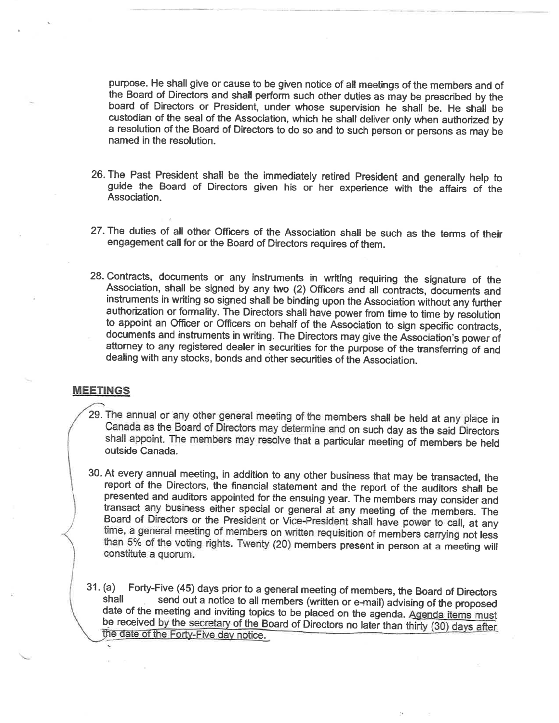purpose. He shall give or cause to be given notice of all meetings of the members and of the Board of Directors and shall perform such other duties as may be prescribed by the board of Directors or President, under whose s custodian of the seal of the Association, which he shall deliver only when authorized by a resolution of the Board of Directors to do so and to such person or persons as may be named in the resolution.

- 26. The Past President shall be the immediately retired President and generally help to guide the Board of Directors given his or her experience with the affairs of the Association.
- 27-The duties of all other Officers of the Association shall be such as the terms of their engagement call for or the Board of Directors requires of them.
- 28. Contracts, documents or any instruments in writing requiring the signature of the Association, shall be signed by any two (2) Officers and all contracts, documents and instruments in writing so signed shall be binding authorization or formality. The Directors shall have power from time to time by resolution<br>to appoint an Officer or Officers on behalf of the Association to sign specific contracts,<br>documents and instruments in writing. Th

## MEETINGS

- 29. The annual or any other general meeting of the members shall be held at any place in Canada as the Board of Directors may determine and on such day as the said Directors shall appoint. The members may resolve that a pa
- 30. At every annual meeting, in addition to any other business that may be transacted, the report of the Directors, the financial statement and the report of the auditors shall be presented and auditors appointed for the e
- 31. (a) Forty-Five (45) days prior to a general meeting of members, the Board of Directors shall send out a notice to all members (written or e-mail) advising of the proposed date of the meeting and inviting topics to be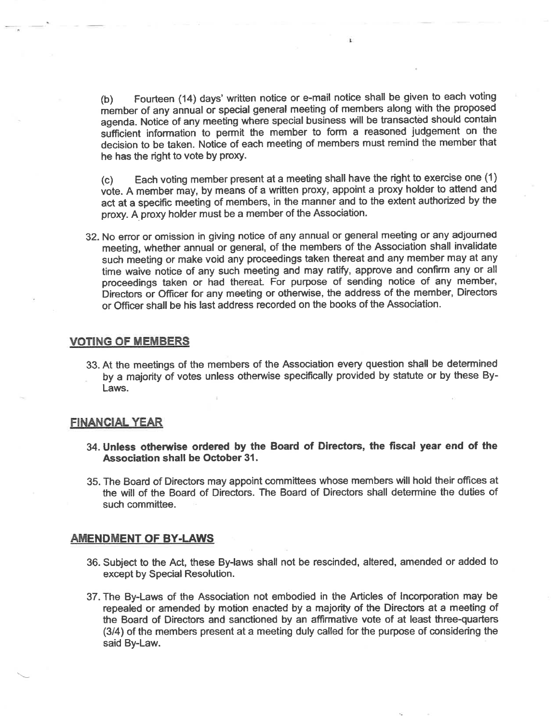(b) Fourteen (14) days'written notice or e-mail notice shall be given to each voting member of any annual or special general meeting of members along with the proposed agenda. Notice of any meeting where special business will be transacted should contain sufficient information to permit the member to form a reasoned judgement on the decision to be taken. Notice of each meeting of members must remind the member that he has the right to vote by proxy.

(c) Each voting member present at a meeting shall have the right to exercise one (1) vote. A member may, by means of a written proxy, appoint a proxy holder to attend and act at a specific meeting of members, in the manner and to the extent authorized by the proxy. A proxy holder must be a member of the Association.

32. No error or omission in giving notice of any annual or general meeting or any adjoumed meeting, whether annual or general, of the members of the Association shall invalidate such meeting or make void any proceedings taken thereat and any member may at any time waive notice of any such meeting and may ratify, approve and confirm any or all proceedings taken or had thereat. For purpose of sending notice of any member, Directors or Officer for any meeting or otherwise, the address of the member, Directors or Officer shall be his last address recorded on the books of the Association.

### **VOTING OF MEMBERS**

33, At the meetings of the members of the Association every question shall be determined by a majority of votes unless otherwise specifically provided by statute or by these By-Laws.

#### FINANCIAL YEAR

- 34. Unless otherwise ordered by the Board of Directors, the fiscal year end of the Association shall be October 31.
- 35. The Board of Directors may appoint committees whose members will hold their offices at the will of the Board of Directors. The Board of Directors shall determine the duties of such committee.

#### **AMENDMENT OF BY-LAWS**

- 36. Subject to the Act, these By-laws shall not be rescinded, altered, amended or added to except by Special Resolution.
- 37. The By-Laws of the Association not embodied in the Articles of lncorporation may be repealed or amended by motion enacted by a majority of the Directors at a meeting of the Board of Directors and sanctioned by an affirmative vote of at least three-quarters (3/a) of the members present at a meeting duly called for the purpose of considering the said By-Law.